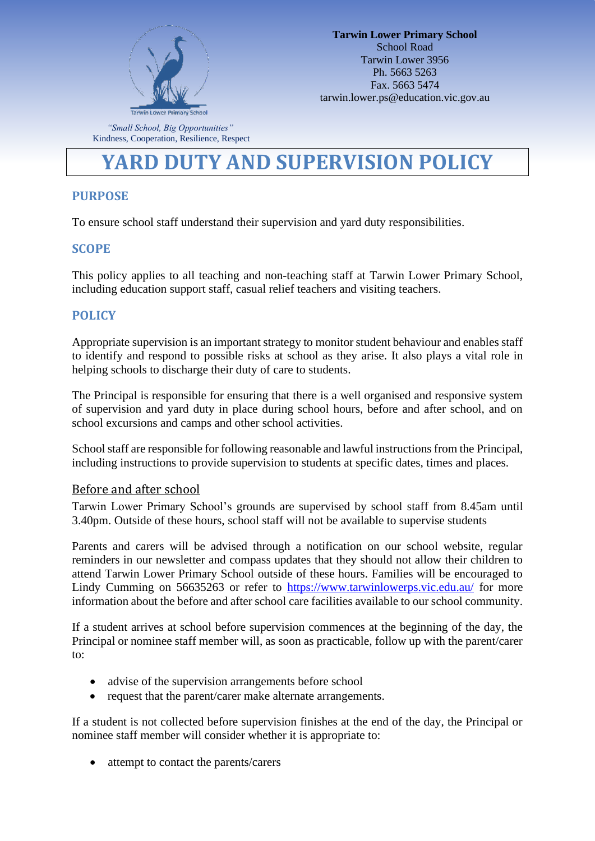

*"Small School, Big Opportunities"* Kindness, Cooperation, Resilience, Respect

# **YARD DUTY AND SUPERVISION POLICY**

# **PURPOSE**

To ensure school staff understand their supervision and yard duty responsibilities.

## **SCOPE**

This policy applies to all teaching and non-teaching staff at Tarwin Lower Primary School, including education support staff, casual relief teachers and visiting teachers.

## **POLICY**

Appropriate supervision is an important strategy to monitor student behaviour and enables staff to identify and respond to possible risks at school as they arise. It also plays a vital role in helping schools to discharge their duty of care to students.

The Principal is responsible for ensuring that there is a well organised and responsive system of supervision and yard duty in place during school hours, before and after school, and on school excursions and camps and other school activities.

School staff are responsible for following reasonable and lawful instructions from the Principal, including instructions to provide supervision to students at specific dates, times and places.

#### Before and after school

Tarwin Lower Primary School's grounds are supervised by school staff from 8.45am until 3.40pm. Outside of these hours, school staff will not be available to supervise students

Parents and carers will be advised through a notification on our school website, regular reminders in our newsletter and compass updates that they should not allow their children to attend Tarwin Lower Primary School outside of these hours. Families will be encouraged to Lindy Cumming on 56635263 or refer to<https://www.tarwinlowerps.vic.edu.au/> for more information about the before and after school care facilities available to our school community.

If a student arrives at school before supervision commences at the beginning of the day, the Principal or nominee staff member will, as soon as practicable, follow up with the parent/carer to:

- advise of the supervision arrangements before school
- request that the parent/carer make alternate arrangements.

If a student is not collected before supervision finishes at the end of the day, the Principal or nominee staff member will consider whether it is appropriate to:

• attempt to contact the parents/carers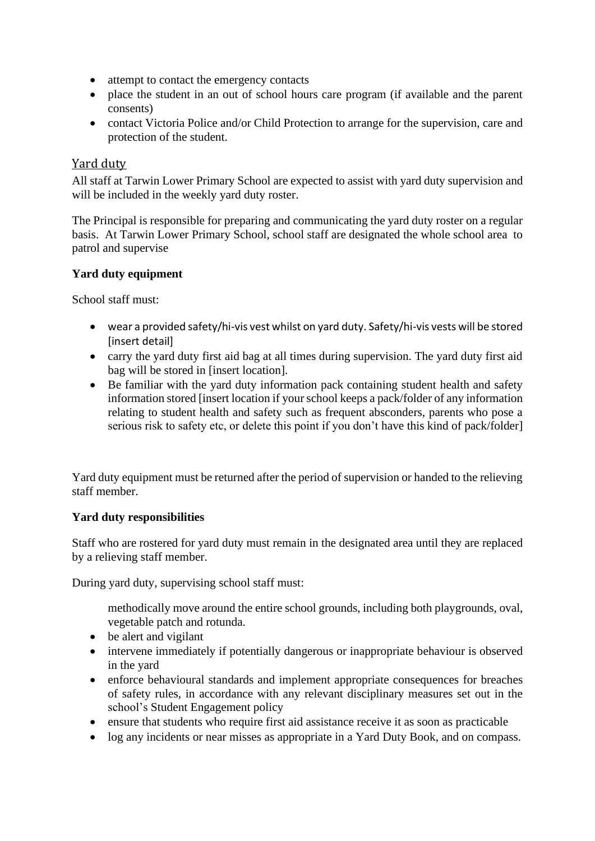- attempt to contact the emergency contacts
- place the student in an out of school hours care program (if available and the parent consents)
- contact Victoria Police and/or Child Protection to arrange for the supervision, care and protection of the student.

## Yard duty

All staff at Tarwin Lower Primary School are expected to assist with yard duty supervision and will be included in the weekly yard duty roster.

The Principal is responsible for preparing and communicating the yard duty roster on a regular basis. At Tarwin Lower Primary School, school staff are designated the whole school area to patrol and supervise

#### **Yard duty equipment**

School staff must:

- wear a provided safety/hi-vis vest whilst on yard duty. Safety/hi-vis vests will be stored [insert detail]
- carry the yard duty first aid bag at all times during supervision. The yard duty first aid bag will be stored in [insert location].
- Be familiar with the yard duty information pack containing student health and safety information stored [insert location if your school keeps a pack/folder of any information relating to student health and safety such as frequent absconders, parents who pose a serious risk to safety etc, or delete this point if you don't have this kind of pack/folder]

Yard duty equipment must be returned after the period of supervision or handed to the relieving staff member.

#### **Yard duty responsibilities**

Staff who are rostered for yard duty must remain in the designated area until they are replaced by a relieving staff member.

During yard duty, supervising school staff must:

methodically move around the entire school grounds, including both playgrounds, oval, vegetable patch and rotunda.

- be alert and vigilant
- intervene immediately if potentially dangerous or inappropriate behaviour is observed in the yard
- enforce behavioural standards and implement appropriate consequences for breaches of safety rules, in accordance with any relevant disciplinary measures set out in the school's Student Engagement policy
- ensure that students who require first aid assistance receive it as soon as practicable
- log any incidents or near misses as appropriate in a Yard Duty Book, and on compass.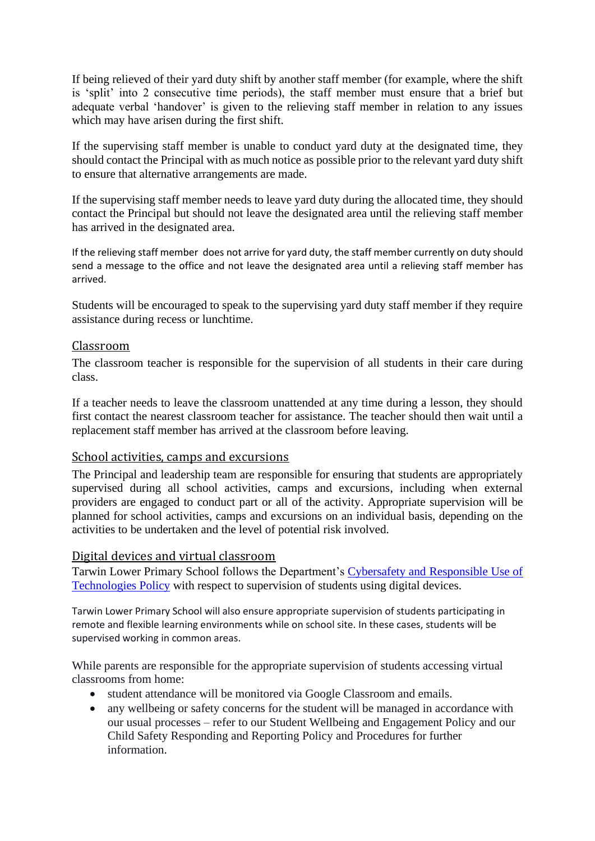If being relieved of their yard duty shift by another staff member (for example, where the shift is 'split' into 2 consecutive time periods), the staff member must ensure that a brief but adequate verbal 'handover' is given to the relieving staff member in relation to any issues which may have arisen during the first shift.

If the supervising staff member is unable to conduct yard duty at the designated time, they should contact the Principal with as much notice as possible prior to the relevant yard duty shift to ensure that alternative arrangements are made.

If the supervising staff member needs to leave yard duty during the allocated time, they should contact the Principal but should not leave the designated area until the relieving staff member has arrived in the designated area.

If the relieving staff member does not arrive for yard duty, the staff member currently on duty should send a message to the office and not leave the designated area until a relieving staff member has arrived.

Students will be encouraged to speak to the supervising yard duty staff member if they require assistance during recess or lunchtime.

#### Classroom

The classroom teacher is responsible for the supervision of all students in their care during class.

If a teacher needs to leave the classroom unattended at any time during a lesson, they should first contact the nearest classroom teacher for assistance. The teacher should then wait until a replacement staff member has arrived at the classroom before leaving.

#### School activities, camps and excursions

The Principal and leadership team are responsible for ensuring that students are appropriately supervised during all school activities, camps and excursions, including when external providers are engaged to conduct part or all of the activity. Appropriate supervision will be planned for school activities, camps and excursions on an individual basis, depending on the activities to be undertaken and the level of potential risk involved.

#### Digital devices and virtual classroom

Tarwin Lower Primary School follows the Department's [Cybersafety and Responsible Use of](https://www2.education.vic.gov.au/pal/cybersafety/policy)  [Technologies Policy](https://www2.education.vic.gov.au/pal/cybersafety/policy) with respect to supervision of students using digital devices.

Tarwin Lower Primary School will also ensure appropriate supervision of students participating in remote and flexible learning environments while on school site. In these cases, students will be supervised working in common areas.

While parents are responsible for the appropriate supervision of students accessing virtual classrooms from home:

- student attendance will be monitored via Google Classroom and emails.
- any wellbeing or safety concerns for the student will be managed in accordance with our usual processes – refer to our Student Wellbeing and Engagement Policy and our Child Safety Responding and Reporting Policy and Procedures for further information.